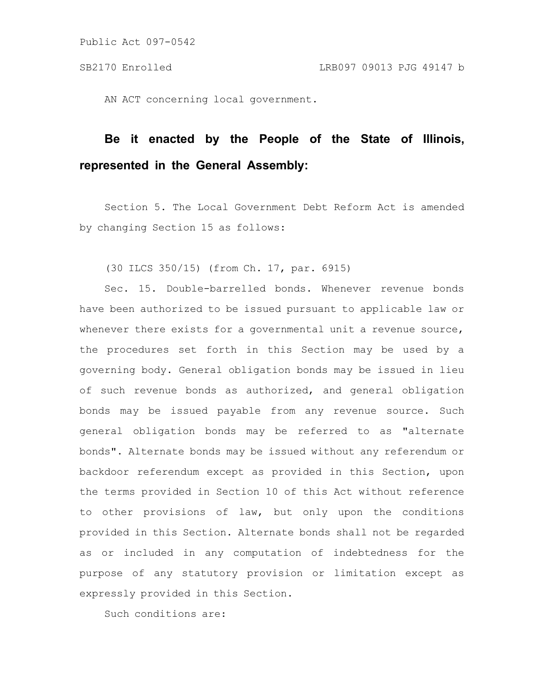AN ACT concerning local government.

# **Be it enacted by the People of the State of Illinois, represented in the General Assembly:**

Section 5. The Local Government Debt Reform Act is amended by changing Section 15 as follows:

(30 ILCS 350/15) (from Ch. 17, par. 6915)

Sec. 15. Double-barrelled bonds. Whenever revenue bonds have been authorized to be issued pursuant to applicable law or whenever there exists for a governmental unit a revenue source, the procedures set forth in this Section may be used by a governing body. General obligation bonds may be issued in lieu of such revenue bonds as authorized, and general obligation bonds may be issued payable from any revenue source. Such general obligation bonds may be referred to as "alternate bonds". Alternate bonds may be issued without any referendum or backdoor referendum except as provided in this Section, upon the terms provided in Section 10 of this Act without reference to other provisions of law, but only upon the conditions provided in this Section. Alternate bonds shall not be regarded as or included in any computation of indebtedness for the purpose of any statutory provision or limitation except as expressly provided in this Section.

Such conditions are: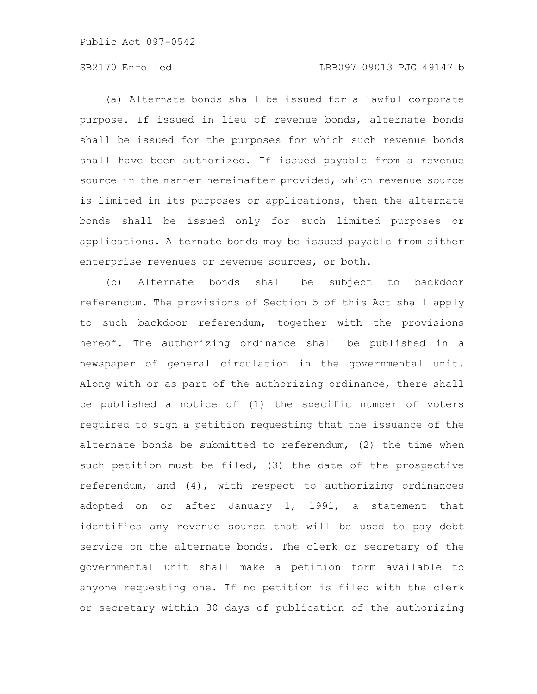## SB2170 Enrolled LRB097 09013 PJG 49147 b

(a) Alternate bonds shall be issued for a lawful corporate purpose. If issued in lieu of revenue bonds, alternate bonds shall be issued for the purposes for which such revenue bonds shall have been authorized. If issued payable from a revenue source in the manner hereinafter provided, which revenue source is limited in its purposes or applications, then the alternate bonds shall be issued only for such limited purposes or applications. Alternate bonds may be issued payable from either enterprise revenues or revenue sources, or both.

(b) Alternate bonds shall be subject to backdoor referendum. The provisions of Section 5 of this Act shall apply to such backdoor referendum, together with the provisions hereof. The authorizing ordinance shall be published in a newspaper of general circulation in the governmental unit. Along with or as part of the authorizing ordinance, there shall be published a notice of (1) the specific number of voters required to sign a petition requesting that the issuance of the alternate bonds be submitted to referendum, (2) the time when such petition must be filed, (3) the date of the prospective referendum, and (4), with respect to authorizing ordinances adopted on or after January 1, 1991, a statement that identifies any revenue source that will be used to pay debt service on the alternate bonds. The clerk or secretary of the governmental unit shall make a petition form available to anyone requesting one. If no petition is filed with the clerk or secretary within 30 days of publication of the authorizing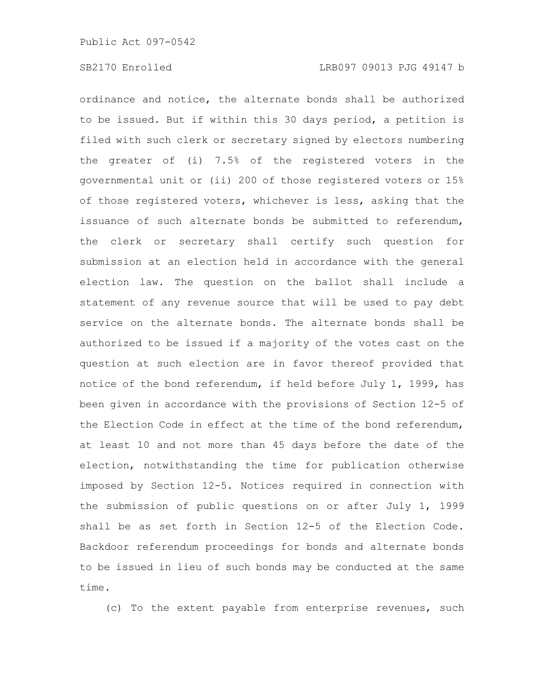ordinance and notice, the alternate bonds shall be authorized to be issued. But if within this 30 days period, a petition is filed with such clerk or secretary signed by electors numbering the greater of (i) 7.5% of the registered voters in the governmental unit or (ii) 200 of those registered voters or 15% of those registered voters, whichever is less, asking that the issuance of such alternate bonds be submitted to referendum, the clerk or secretary shall certify such question for submission at an election held in accordance with the general election law. The question on the ballot shall include a statement of any revenue source that will be used to pay debt service on the alternate bonds. The alternate bonds shall be authorized to be issued if a majority of the votes cast on the question at such election are in favor thereof provided that notice of the bond referendum, if held before July 1, 1999, has been given in accordance with the provisions of Section 12-5 of the Election Code in effect at the time of the bond referendum, at least 10 and not more than 45 days before the date of the election, notwithstanding the time for publication otherwise imposed by Section 12-5. Notices required in connection with the submission of public questions on or after July 1, 1999 shall be as set forth in Section 12-5 of the Election Code. Backdoor referendum proceedings for bonds and alternate bonds to be issued in lieu of such bonds may be conducted at the same time.

(c) To the extent payable from enterprise revenues, such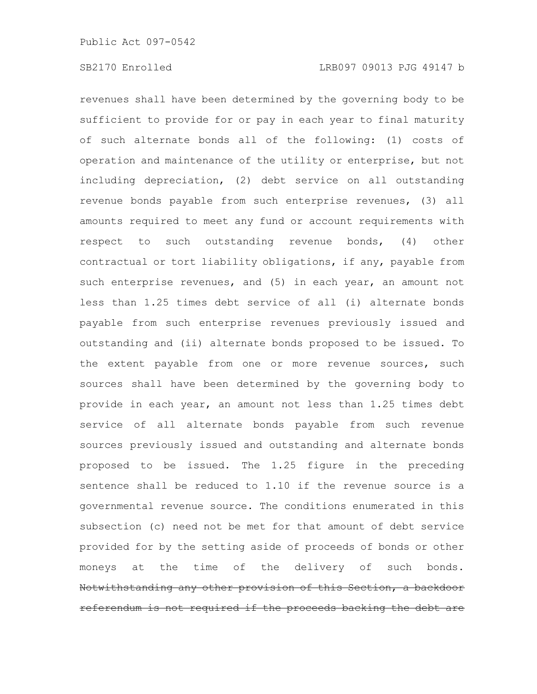revenues shall have been determined by the governing body to be sufficient to provide for or pay in each year to final maturity of such alternate bonds all of the following: (1) costs of operation and maintenance of the utility or enterprise, but not including depreciation, (2) debt service on all outstanding revenue bonds payable from such enterprise revenues, (3) all amounts required to meet any fund or account requirements with respect to such outstanding revenue bonds, (4) other contractual or tort liability obligations, if any, payable from such enterprise revenues, and (5) in each year, an amount not less than 1.25 times debt service of all (i) alternate bonds payable from such enterprise revenues previously issued and outstanding and (ii) alternate bonds proposed to be issued. To the extent payable from one or more revenue sources, such sources shall have been determined by the governing body to provide in each year, an amount not less than 1.25 times debt service of all alternate bonds payable from such revenue sources previously issued and outstanding and alternate bonds proposed to be issued. The 1.25 figure in the preceding sentence shall be reduced to 1.10 if the revenue source is a governmental revenue source. The conditions enumerated in this subsection (c) need not be met for that amount of debt service provided for by the setting aside of proceeds of bonds or other moneys at the time of the delivery of such bonds. Notwithstanding any other provision of this Section, a backdoor referendum is not required if the proceeds backing the debt are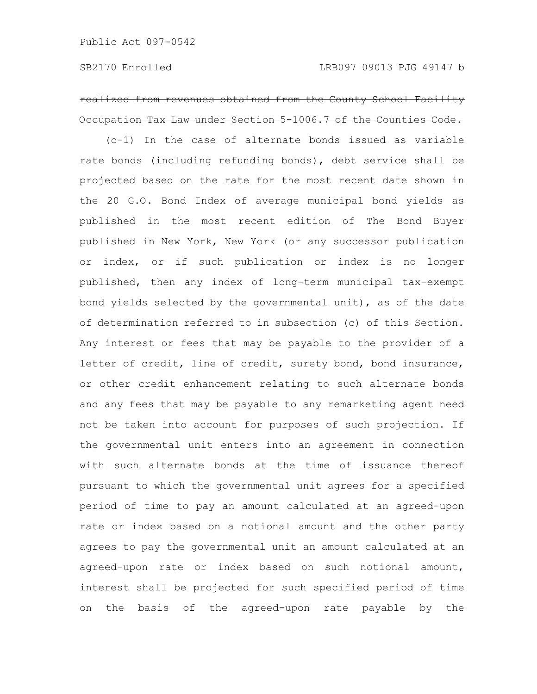# realized from revenues obtained from the County School Facility Occupation Tax Law under Section 5-1006.7 of the Counties Code.

(c-1) In the case of alternate bonds issued as variable rate bonds (including refunding bonds), debt service shall be projected based on the rate for the most recent date shown in the 20 G.O. Bond Index of average municipal bond yields as published in the most recent edition of The Bond Buyer published in New York, New York (or any successor publication or index, or if such publication or index is no longer published, then any index of long-term municipal tax-exempt bond yields selected by the governmental unit), as of the date of determination referred to in subsection (c) of this Section. Any interest or fees that may be payable to the provider of a letter of credit, line of credit, surety bond, bond insurance, or other credit enhancement relating to such alternate bonds and any fees that may be payable to any remarketing agent need not be taken into account for purposes of such projection. If the governmental unit enters into an agreement in connection with such alternate bonds at the time of issuance thereof pursuant to which the governmental unit agrees for a specified period of time to pay an amount calculated at an agreed-upon rate or index based on a notional amount and the other party agrees to pay the governmental unit an amount calculated at an agreed-upon rate or index based on such notional amount, interest shall be projected for such specified period of time on the basis of the agreed-upon rate payable by the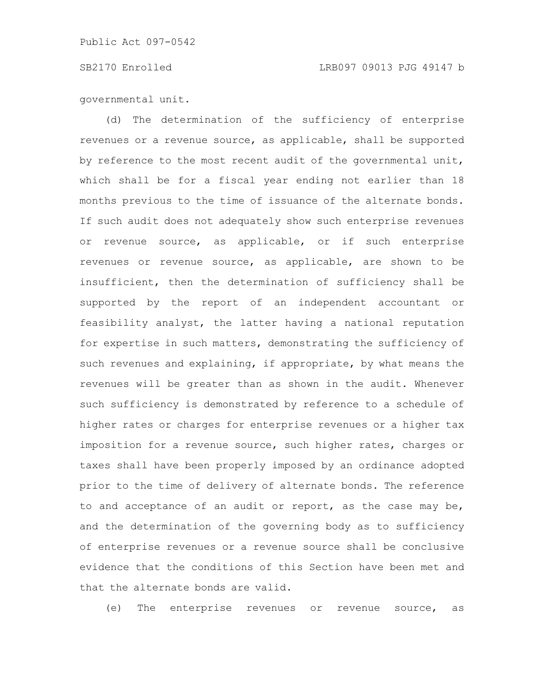#### SB2170 Enrolled LRB097 09013 PJG 49147 b

governmental unit.

(d) The determination of the sufficiency of enterprise revenues or a revenue source, as applicable, shall be supported by reference to the most recent audit of the governmental unit, which shall be for a fiscal year ending not earlier than 18 months previous to the time of issuance of the alternate bonds. If such audit does not adequately show such enterprise revenues or revenue source, as applicable, or if such enterprise revenues or revenue source, as applicable, are shown to be insufficient, then the determination of sufficiency shall be supported by the report of an independent accountant or feasibility analyst, the latter having a national reputation for expertise in such matters, demonstrating the sufficiency of such revenues and explaining, if appropriate, by what means the revenues will be greater than as shown in the audit. Whenever such sufficiency is demonstrated by reference to a schedule of higher rates or charges for enterprise revenues or a higher tax imposition for a revenue source, such higher rates, charges or taxes shall have been properly imposed by an ordinance adopted prior to the time of delivery of alternate bonds. The reference to and acceptance of an audit or report, as the case may be, and the determination of the governing body as to sufficiency of enterprise revenues or a revenue source shall be conclusive evidence that the conditions of this Section have been met and that the alternate bonds are valid.

(e) The enterprise revenues or revenue source, as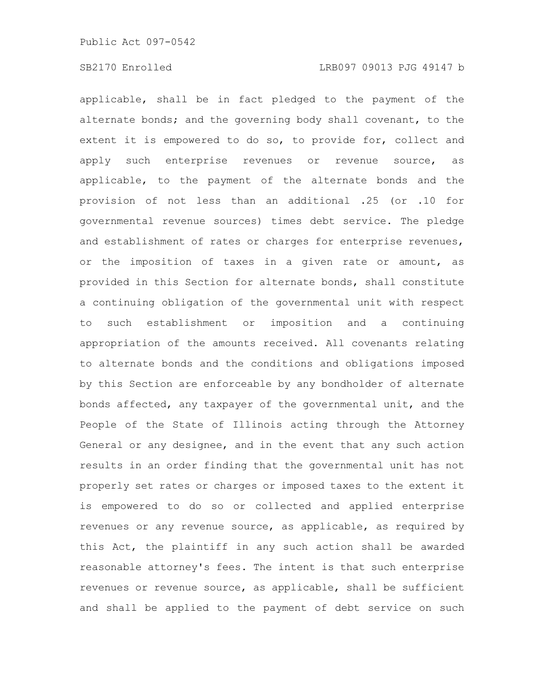applicable, shall be in fact pledged to the payment of the alternate bonds; and the governing body shall covenant, to the extent it is empowered to do so, to provide for, collect and apply such enterprise revenues or revenue source, as applicable, to the payment of the alternate bonds and the provision of not less than an additional .25 (or .10 for governmental revenue sources) times debt service. The pledge and establishment of rates or charges for enterprise revenues, or the imposition of taxes in a given rate or amount, as provided in this Section for alternate bonds, shall constitute a continuing obligation of the governmental unit with respect to such establishment or imposition and a continuing appropriation of the amounts received. All covenants relating to alternate bonds and the conditions and obligations imposed by this Section are enforceable by any bondholder of alternate bonds affected, any taxpayer of the governmental unit, and the People of the State of Illinois acting through the Attorney General or any designee, and in the event that any such action results in an order finding that the governmental unit has not properly set rates or charges or imposed taxes to the extent it is empowered to do so or collected and applied enterprise revenues or any revenue source, as applicable, as required by this Act, the plaintiff in any such action shall be awarded reasonable attorney's fees. The intent is that such enterprise revenues or revenue source, as applicable, shall be sufficient and shall be applied to the payment of debt service on such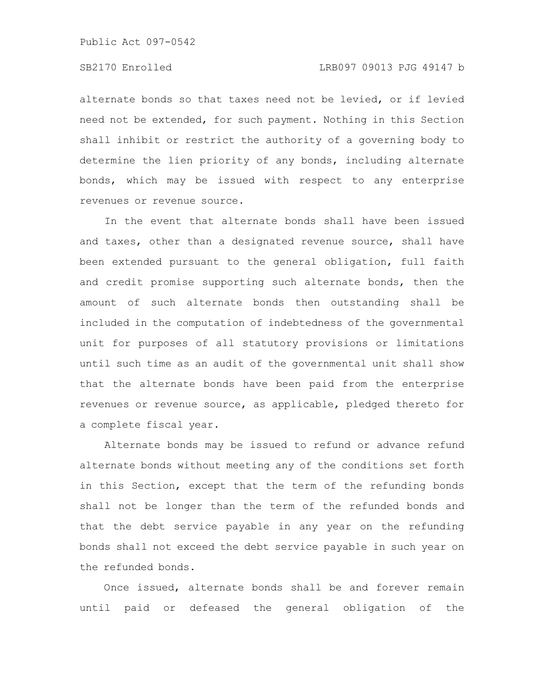alternate bonds so that taxes need not be levied, or if levied need not be extended, for such payment. Nothing in this Section shall inhibit or restrict the authority of a governing body to determine the lien priority of any bonds, including alternate bonds, which may be issued with respect to any enterprise revenues or revenue source.

In the event that alternate bonds shall have been issued and taxes, other than a designated revenue source, shall have been extended pursuant to the general obligation, full faith and credit promise supporting such alternate bonds, then the amount of such alternate bonds then outstanding shall be included in the computation of indebtedness of the governmental unit for purposes of all statutory provisions or limitations until such time as an audit of the governmental unit shall show that the alternate bonds have been paid from the enterprise revenues or revenue source, as applicable, pledged thereto for a complete fiscal year.

Alternate bonds may be issued to refund or advance refund alternate bonds without meeting any of the conditions set forth in this Section, except that the term of the refunding bonds shall not be longer than the term of the refunded bonds and that the debt service payable in any year on the refunding bonds shall not exceed the debt service payable in such year on the refunded bonds.

Once issued, alternate bonds shall be and forever remain until paid or defeased the general obligation of the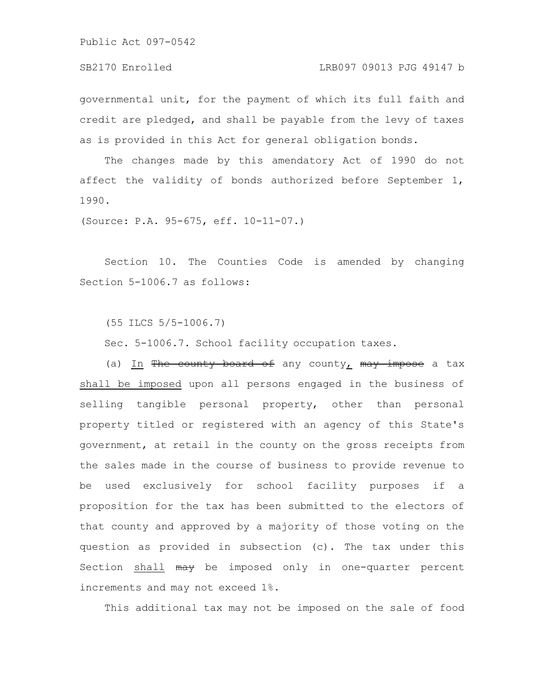#### SB2170 Enrolled LRB097 09013 PJG 49147 b

governmental unit, for the payment of which its full faith and credit are pledged, and shall be payable from the levy of taxes as is provided in this Act for general obligation bonds.

The changes made by this amendatory Act of 1990 do not affect the validity of bonds authorized before September 1, 1990.

(Source: P.A. 95-675, eff. 10-11-07.)

Section 10. The Counties Code is amended by changing Section 5-1006.7 as follows:

(55 ILCS 5/5-1006.7)

Sec. 5-1006.7. School facility occupation taxes.

(a) In The county board of any county,  $\max$  impose a tax shall be imposed upon all persons engaged in the business of selling tangible personal property, other than personal property titled or registered with an agency of this State's government, at retail in the county on the gross receipts from the sales made in the course of business to provide revenue to be used exclusively for school facility purposes if a proposition for the tax has been submitted to the electors of that county and approved by a majority of those voting on the question as provided in subsection (c). The tax under this Section shall may be imposed only in one-quarter percent increments and may not exceed 1%.

This additional tax may not be imposed on the sale of food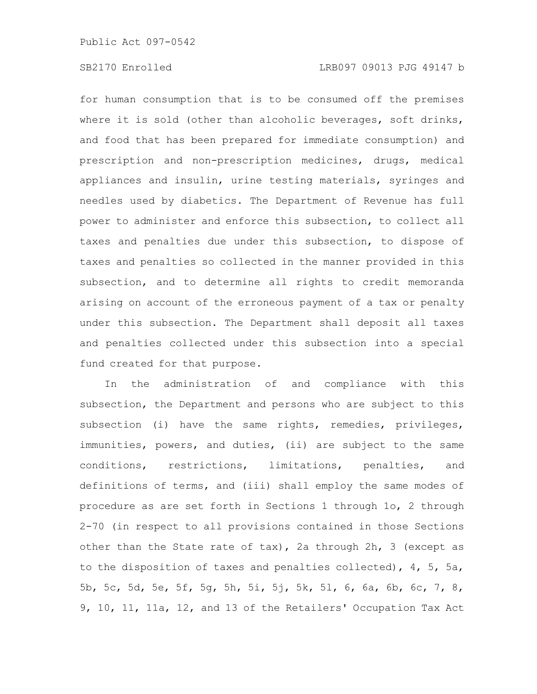for human consumption that is to be consumed off the premises where it is sold (other than alcoholic beverages, soft drinks, and food that has been prepared for immediate consumption) and prescription and non-prescription medicines, drugs, medical appliances and insulin, urine testing materials, syringes and needles used by diabetics. The Department of Revenue has full power to administer and enforce this subsection, to collect all taxes and penalties due under this subsection, to dispose of taxes and penalties so collected in the manner provided in this subsection, and to determine all rights to credit memoranda arising on account of the erroneous payment of a tax or penalty under this subsection. The Department shall deposit all taxes and penalties collected under this subsection into a special fund created for that purpose.

In the administration of and compliance with this subsection, the Department and persons who are subject to this subsection (i) have the same rights, remedies, privileges, immunities, powers, and duties, (ii) are subject to the same conditions, restrictions, limitations, penalties, and definitions of terms, and (iii) shall employ the same modes of procedure as are set forth in Sections 1 through 1o, 2 through 2-70 (in respect to all provisions contained in those Sections other than the State rate of tax), 2a through 2h, 3 (except as to the disposition of taxes and penalties collected), 4, 5, 5a, 5b, 5c, 5d, 5e, 5f, 5g, 5h, 5i, 5j, 5k, 5l, 6, 6a, 6b, 6c, 7, 8, 9, 10, 11, 11a, 12, and 13 of the Retailers' Occupation Tax Act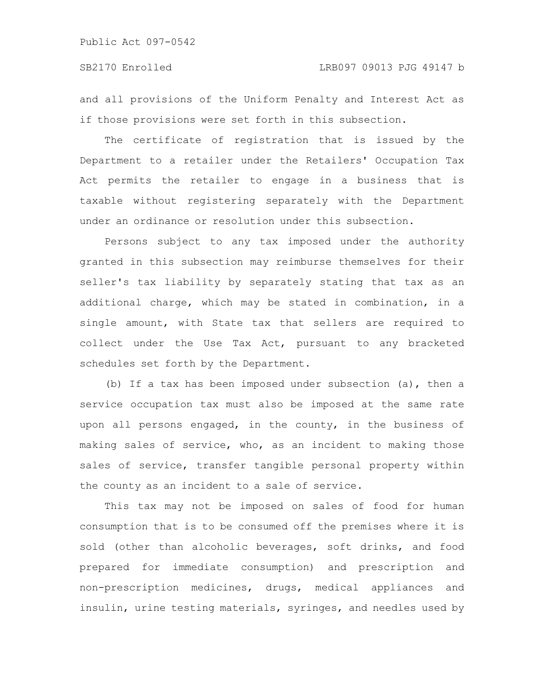and all provisions of the Uniform Penalty and Interest Act as if those provisions were set forth in this subsection.

The certificate of registration that is issued by the Department to a retailer under the Retailers' Occupation Tax Act permits the retailer to engage in a business that is taxable without registering separately with the Department under an ordinance or resolution under this subsection.

Persons subject to any tax imposed under the authority granted in this subsection may reimburse themselves for their seller's tax liability by separately stating that tax as an additional charge, which may be stated in combination, in a single amount, with State tax that sellers are required to collect under the Use Tax Act, pursuant to any bracketed schedules set forth by the Department.

(b) If a tax has been imposed under subsection (a), then a service occupation tax must also be imposed at the same rate upon all persons engaged, in the county, in the business of making sales of service, who, as an incident to making those sales of service, transfer tangible personal property within the county as an incident to a sale of service.

This tax may not be imposed on sales of food for human consumption that is to be consumed off the premises where it is sold (other than alcoholic beverages, soft drinks, and food prepared for immediate consumption) and prescription and non-prescription medicines, drugs, medical appliances and insulin, urine testing materials, syringes, and needles used by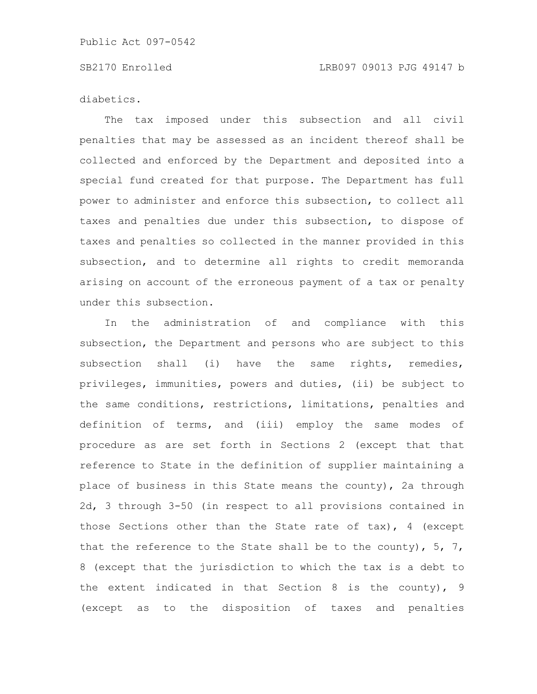diabetics.

The tax imposed under this subsection and all civil penalties that may be assessed as an incident thereof shall be collected and enforced by the Department and deposited into a special fund created for that purpose. The Department has full power to administer and enforce this subsection, to collect all taxes and penalties due under this subsection, to dispose of taxes and penalties so collected in the manner provided in this subsection, and to determine all rights to credit memoranda arising on account of the erroneous payment of a tax or penalty under this subsection.

In the administration of and compliance with this subsection, the Department and persons who are subject to this subsection shall (i) have the same rights, remedies, privileges, immunities, powers and duties, (ii) be subject to the same conditions, restrictions, limitations, penalties and definition of terms, and (iii) employ the same modes of procedure as are set forth in Sections 2 (except that that reference to State in the definition of supplier maintaining a place of business in this State means the county), 2a through 2d, 3 through 3-50 (in respect to all provisions contained in those Sections other than the State rate of tax), 4 (except that the reference to the State shall be to the county),  $5, 7,$ 8 (except that the jurisdiction to which the tax is a debt to the extent indicated in that Section 8 is the county), 9 (except as to the disposition of taxes and penalties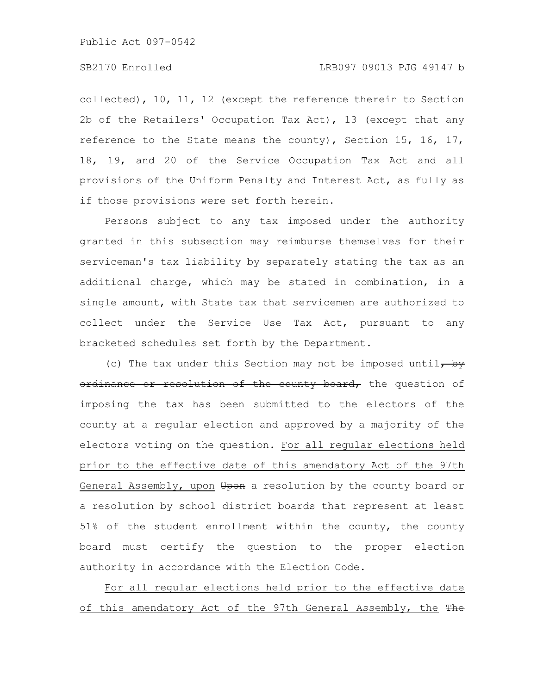## SB2170 Enrolled LRB097 09013 PJG 49147 b

collected), 10, 11, 12 (except the reference therein to Section 2b of the Retailers' Occupation Tax Act), 13 (except that any reference to the State means the county), Section 15, 16, 17, 18, 19, and 20 of the Service Occupation Tax Act and all provisions of the Uniform Penalty and Interest Act, as fully as if those provisions were set forth herein.

Persons subject to any tax imposed under the authority granted in this subsection may reimburse themselves for their serviceman's tax liability by separately stating the tax as an additional charge, which may be stated in combination, in a single amount, with State tax that servicemen are authorized to collect under the Service Use Tax Act, pursuant to any bracketed schedules set forth by the Department.

(c) The tax under this Section may not be imposed until, by ordinance or resolution of the county board, the question of imposing the tax has been submitted to the electors of the county at a regular election and approved by a majority of the electors voting on the question. For all regular elections held prior to the effective date of this amendatory Act of the 97th General Assembly, upon Upon a resolution by the county board or a resolution by school district boards that represent at least 51% of the student enrollment within the county, the county board must certify the question to the proper election authority in accordance with the Election Code.

For all regular elections held prior to the effective date of this amendatory Act of the 97th General Assembly, the The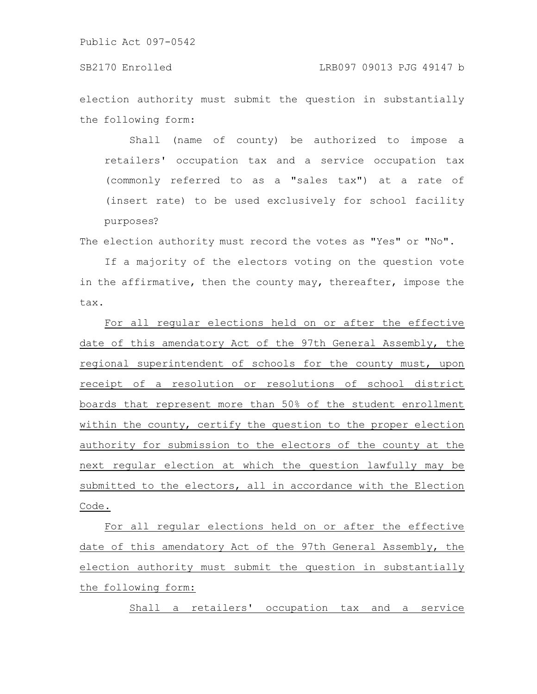election authority must submit the question in substantially the following form:

Shall (name of county) be authorized to impose a retailers' occupation tax and a service occupation tax (commonly referred to as a "sales tax") at a rate of (insert rate) to be used exclusively for school facility purposes?

The election authority must record the votes as "Yes" or "No".

If a majority of the electors voting on the question vote in the affirmative, then the county may, thereafter, impose the tax.

For all regular elections held on or after the effective date of this amendatory Act of the 97th General Assembly, the regional superintendent of schools for the county must, upon receipt of a resolution or resolutions of school district boards that represent more than 50% of the student enrollment within the county, certify the question to the proper election authority for submission to the electors of the county at the next regular election at which the question lawfully may be submitted to the electors, all in accordance with the Election Code.

For all regular elections held on or after the effective date of this amendatory Act of the 97th General Assembly, the election authority must submit the question in substantially the following form:

Shall a retailers' occupation tax and a service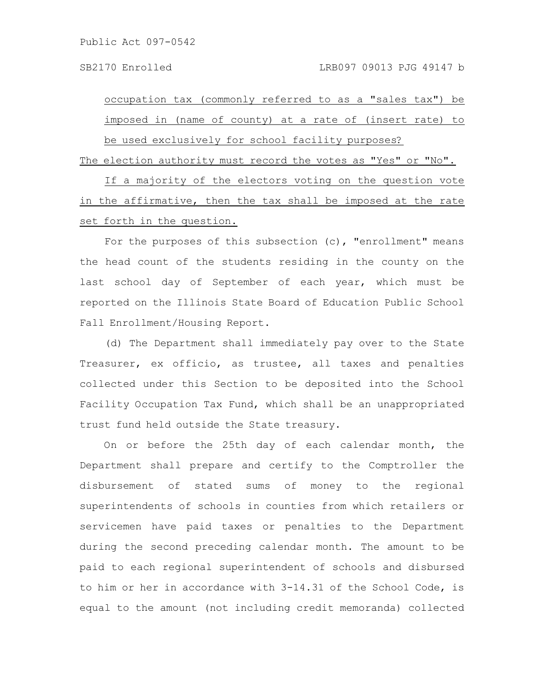occupation tax (commonly referred to as a "sales tax") be imposed in (name of county) at a rate of (insert rate) to be used exclusively for school facility purposes?

The election authority must record the votes as "Yes" or "No".

If a majority of the electors voting on the question vote in the affirmative, then the tax shall be imposed at the rate set forth in the question.

For the purposes of this subsection (c), "enrollment" means the head count of the students residing in the county on the last school day of September of each year, which must be reported on the Illinois State Board of Education Public School Fall Enrollment/Housing Report.

(d) The Department shall immediately pay over to the State Treasurer, ex officio, as trustee, all taxes and penalties collected under this Section to be deposited into the School Facility Occupation Tax Fund, which shall be an unappropriated trust fund held outside the State treasury.

On or before the 25th day of each calendar month, the Department shall prepare and certify to the Comptroller the disbursement of stated sums of money to the regional superintendents of schools in counties from which retailers or servicemen have paid taxes or penalties to the Department during the second preceding calendar month. The amount to be paid to each regional superintendent of schools and disbursed to him or her in accordance with 3-14.31 of the School Code, is equal to the amount (not including credit memoranda) collected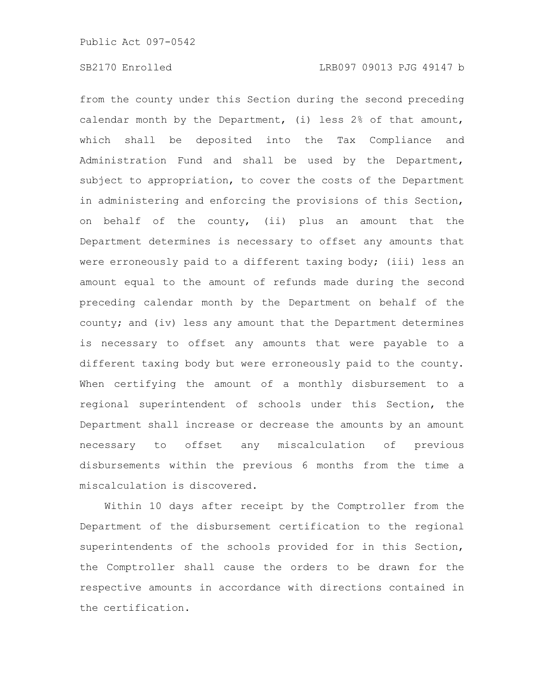from the county under this Section during the second preceding calendar month by the Department, (i) less 2% of that amount, which shall be deposited into the Tax Compliance and Administration Fund and shall be used by the Department, subject to appropriation, to cover the costs of the Department in administering and enforcing the provisions of this Section, on behalf of the county, (ii) plus an amount that the Department determines is necessary to offset any amounts that were erroneously paid to a different taxing body; (iii) less an amount equal to the amount of refunds made during the second preceding calendar month by the Department on behalf of the county; and (iv) less any amount that the Department determines is necessary to offset any amounts that were payable to a different taxing body but were erroneously paid to the county. When certifying the amount of a monthly disbursement to a regional superintendent of schools under this Section, the Department shall increase or decrease the amounts by an amount necessary to offset any miscalculation of previous disbursements within the previous 6 months from the time a miscalculation is discovered.

Within 10 days after receipt by the Comptroller from the Department of the disbursement certification to the regional superintendents of the schools provided for in this Section, the Comptroller shall cause the orders to be drawn for the respective amounts in accordance with directions contained in the certification.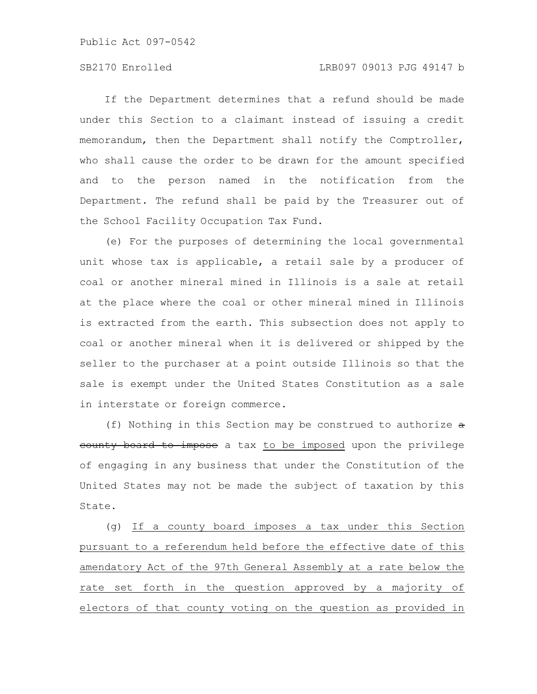If the Department determines that a refund should be made under this Section to a claimant instead of issuing a credit memorandum, then the Department shall notify the Comptroller, who shall cause the order to be drawn for the amount specified and to the person named in the notification from the Department. The refund shall be paid by the Treasurer out of the School Facility Occupation Tax Fund.

(e) For the purposes of determining the local governmental unit whose tax is applicable, a retail sale by a producer of coal or another mineral mined in Illinois is a sale at retail at the place where the coal or other mineral mined in Illinois is extracted from the earth. This subsection does not apply to coal or another mineral when it is delivered or shipped by the seller to the purchaser at a point outside Illinois so that the sale is exempt under the United States Constitution as a sale in interstate or foreign commerce.

(f) Nothing in this Section may be construed to authorize  $\theta$ county board to impose a tax to be imposed upon the privilege of engaging in any business that under the Constitution of the United States may not be made the subject of taxation by this State.

(g) If a county board imposes a tax under this Section pursuant to a referendum held before the effective date of this amendatory Act of the 97th General Assembly at a rate below the rate set forth in the question approved by a majority of electors of that county voting on the question as provided in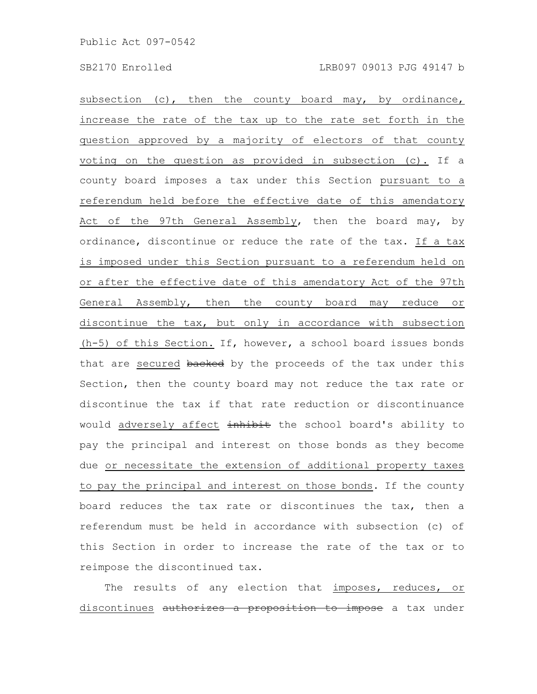subsection (c), then the county board may, by ordinance, increase the rate of the tax up to the rate set forth in the question approved by a majority of electors of that county voting on the question as provided in subsection (c). If a county board imposes a tax under this Section pursuant to a referendum held before the effective date of this amendatory Act of the 97th General Assembly, then the board may, by ordinance, discontinue or reduce the rate of the tax. If a tax is imposed under this Section pursuant to a referendum held on or after the effective date of this amendatory Act of the 97th General Assembly, then the county board may reduce or discontinue the tax, but only in accordance with subsection (h-5) of this Section. If, however, a school board issues bonds that are secured backed by the proceeds of the tax under this Section, then the county board may not reduce the tax rate or discontinue the tax if that rate reduction or discontinuance would adversely affect inhibit the school board's ability to pay the principal and interest on those bonds as they become due or necessitate the extension of additional property taxes to pay the principal and interest on those bonds. If the county board reduces the tax rate or discontinues the tax, then a referendum must be held in accordance with subsection (c) of this Section in order to increase the rate of the tax or to reimpose the discontinued tax.

The results of any election that imposes, reduces, or discontinues authorizes a proposition to impose a tax under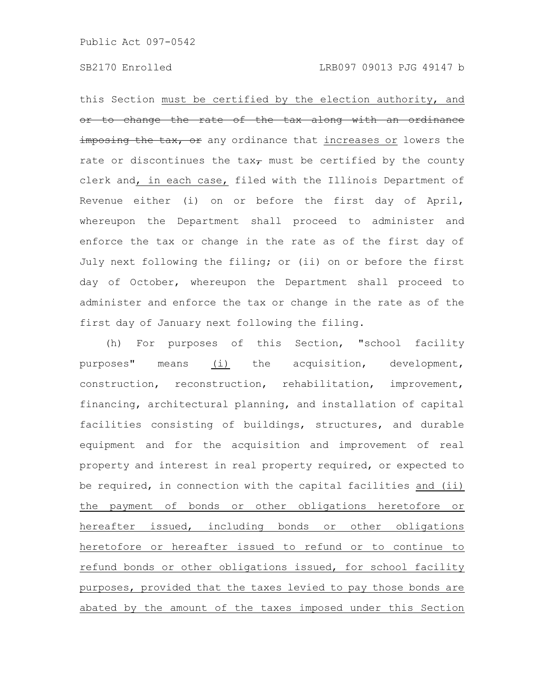this Section must be certified by the election authority, and or to change the rate of the tax along with an ordinance imposing the tax, or any ordinance that increases or lowers the rate or discontinues the tax $_{\tau}$  must be certified by the county clerk and, in each case, filed with the Illinois Department of Revenue either (i) on or before the first day of April, whereupon the Department shall proceed to administer and enforce the tax or change in the rate as of the first day of July next following the filing; or (ii) on or before the first day of October, whereupon the Department shall proceed to administer and enforce the tax or change in the rate as of the first day of January next following the filing.

(h) For purposes of this Section, "school facility purposes" means (i) the acquisition, development, construction, reconstruction, rehabilitation, improvement, financing, architectural planning, and installation of capital facilities consisting of buildings, structures, and durable equipment and for the acquisition and improvement of real property and interest in real property required, or expected to be required, in connection with the capital facilities and (ii) the payment of bonds or other obligations heretofore or hereafter issued, including bonds or other obligations heretofore or hereafter issued to refund or to continue to refund bonds or other obligations issued, for school facility purposes, provided that the taxes levied to pay those bonds are abated by the amount of the taxes imposed under this Section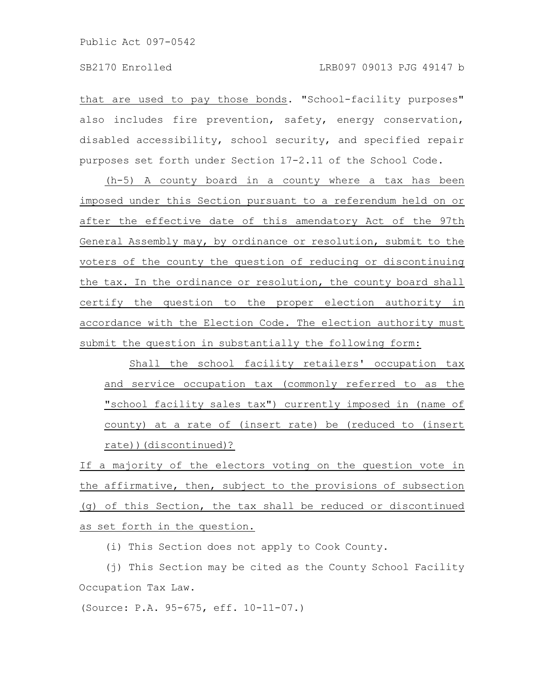that are used to pay those bonds. "School-facility purposes" also includes fire prevention, safety, energy conservation, disabled accessibility, school security, and specified repair purposes set forth under Section 17-2.11 of the School Code.

(h-5) A county board in a county where a tax has been imposed under this Section pursuant to a referendum held on or after the effective date of this amendatory Act of the 97th General Assembly may, by ordinance or resolution, submit to the voters of the county the question of reducing or discontinuing the tax. In the ordinance or resolution, the county board shall certify the question to the proper election authority in accordance with the Election Code. The election authority must submit the question in substantially the following form:

Shall the school facility retailers' occupation tax and service occupation tax (commonly referred to as the "school facility sales tax") currently imposed in (name of county) at a rate of (insert rate) be (reduced to (insert rate))(discontinued)?

If a majority of the electors voting on the question vote in the affirmative, then, subject to the provisions of subsection (g) of this Section, the tax shall be reduced or discontinued as set forth in the question.

(i) This Section does not apply to Cook County.

(j) This Section may be cited as the County School Facility Occupation Tax Law.

(Source: P.A. 95-675, eff. 10-11-07.)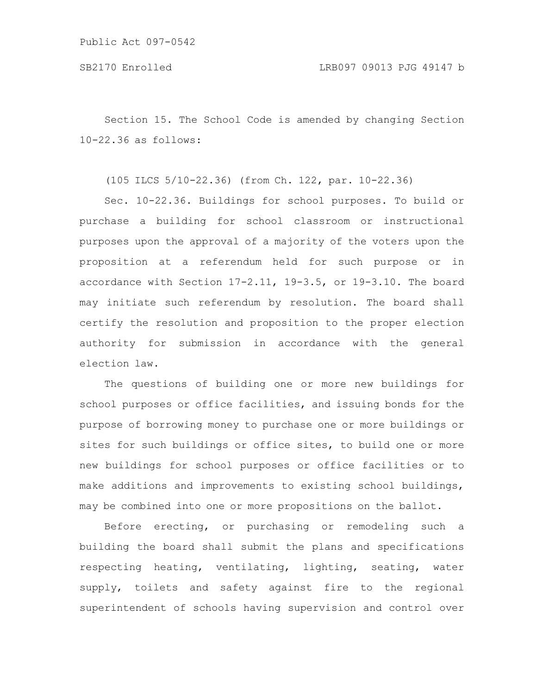Section 15. The School Code is amended by changing Section 10-22.36 as follows:

(105 ILCS 5/10-22.36) (from Ch. 122, par. 10-22.36)

Sec. 10-22.36. Buildings for school purposes. To build or purchase a building for school classroom or instructional purposes upon the approval of a majority of the voters upon the proposition at a referendum held for such purpose or in accordance with Section 17-2.11, 19-3.5, or 19-3.10. The board may initiate such referendum by resolution. The board shall certify the resolution and proposition to the proper election authority for submission in accordance with the general election law.

The questions of building one or more new buildings for school purposes or office facilities, and issuing bonds for the purpose of borrowing money to purchase one or more buildings or sites for such buildings or office sites, to build one or more new buildings for school purposes or office facilities or to make additions and improvements to existing school buildings, may be combined into one or more propositions on the ballot.

Before erecting, or purchasing or remodeling such a building the board shall submit the plans and specifications respecting heating, ventilating, lighting, seating, water supply, toilets and safety against fire to the regional superintendent of schools having supervision and control over